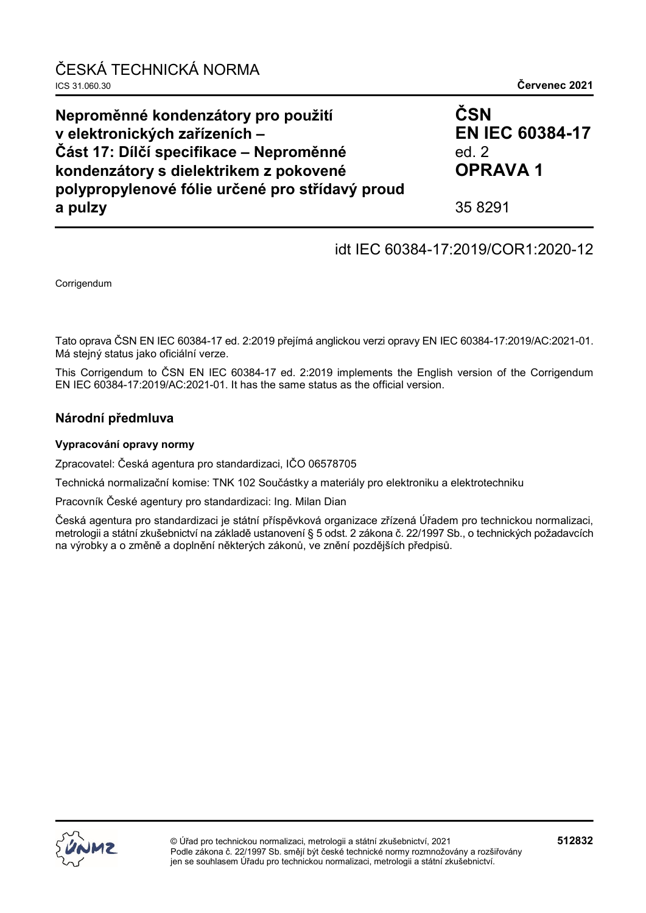| Neproměnné kondenzátory pro použití<br>v elektronických zařízeních -                      | ČSN<br><b>EN IEC 60384-17</b> |
|-------------------------------------------------------------------------------------------|-------------------------------|
| Část 17: Dílčí specifikace – Neproměnné                                                   | ed. $2$                       |
| kondenzátory s dielektrikem z pokovené<br>polypropylenové fólie určené pro střídavý proud | <b>OPRAVA1</b>                |
| a pulzy                                                                                   | 35 8291                       |

## idt IEC 60384-17:2019/COR1:2020-12

Corrigendum

Tato oprava ČSN EN IEC 60384-17 ed. 2:2019 přejímá anglickou verzi opravy EN IEC 60384-17:2019/AC:2021-01. Má stejný status jako oficiální verze.

This Corrigendum to ČSN EN IEC 60384-17 ed. 2:2019 implements the English version of the Corrigendum EN IEC 60384-17:2019/AC:2021-01. It has the same status as the official version.

#### **Národní předmluva**

#### **Vypracování opravy normy**

Zpracovatel: Česká agentura pro standardizaci, IČO 06578705

Technická normalizační komise: TNK 102 Součástky a materiály pro elektroniku a elektrotechniku

Pracovník České agentury pro standardizaci: Ing. Milan Dian

Česká agentura pro standardizaci je státní příspěvková organizace zřízená Úřadem pro technickou normalizaci, metrologii a státní zkušebnictví na základě ustanovení § 5 odst. 2 zákona č. 22/1997 Sb., o technických požadavcích na výrobky a o změně a doplnění některých zákonů, ve znění pozdějších předpisů.

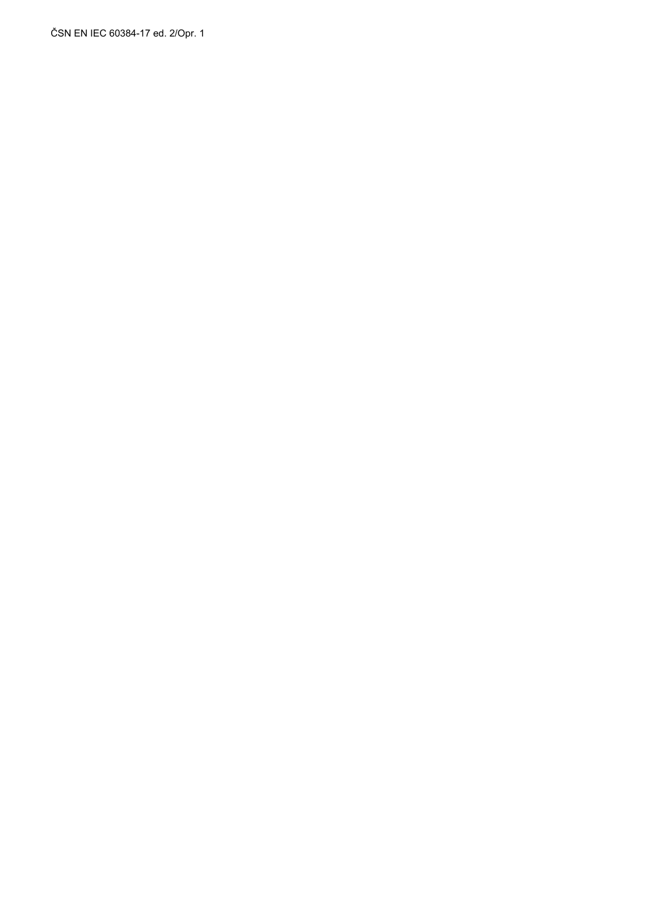ČSN EN IEC 60384-17 ed. 2/Opr. 1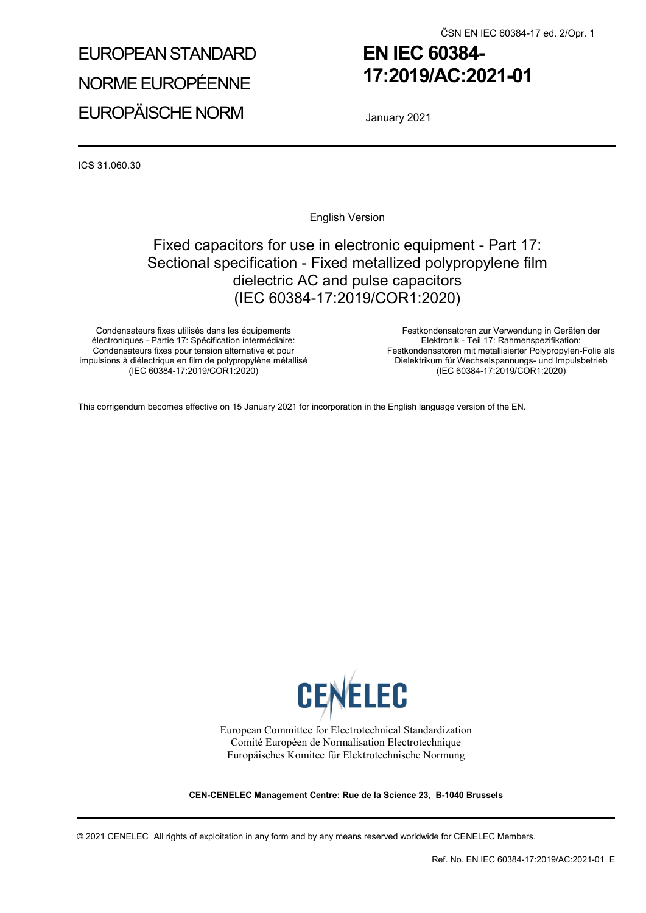# EUROPEAN STANDARD NORME EUROPÉENNE EUROPÄISCHE NORM

## **EN IEC 60384- 17:2019/AC:2021-01**

January 2021

ICS 31.060.30

English Version

## Fixed capacitors for use in electronic equipment - Part 17: Sectional specification - Fixed metallized polypropylene film dielectric AC and pulse capacitors (IEC 60384-17:2019/COR1:2020)

Condensateurs fixes utilisés dans les équipements électroniques - Partie 17: Spécification intermédiaire: Condensateurs fixes pour tension alternative et pour impulsions à diélectrique en film de polypropylène métallisé (IEC 60384-17:2019/COR1:2020)

Festkondensatoren zur Verwendung in Geräten der Elektronik - Teil 17: Rahmenspezifikation: Festkondensatoren mit metallisierter Polypropylen-Folie als Dielektrikum für Wechselspannungs- und Impulsbetrieb (IEC 60384-17:2019/COR1:2020)

This corrigendum becomes effective on 15 January 2021 for incorporation in the English language version of the EN.



European Committee for Electrotechnical Standardization Comité Européen de Normalisation Electrotechnique Europäisches Komitee für Elektrotechnische Normung

**CEN-CENELEC Management Centre: Rue de la Science 23, B-1040 Brussels**

© 2021 CENELEC All rights of exploitation in any form and by any means reserved worldwide for CENELEC Members.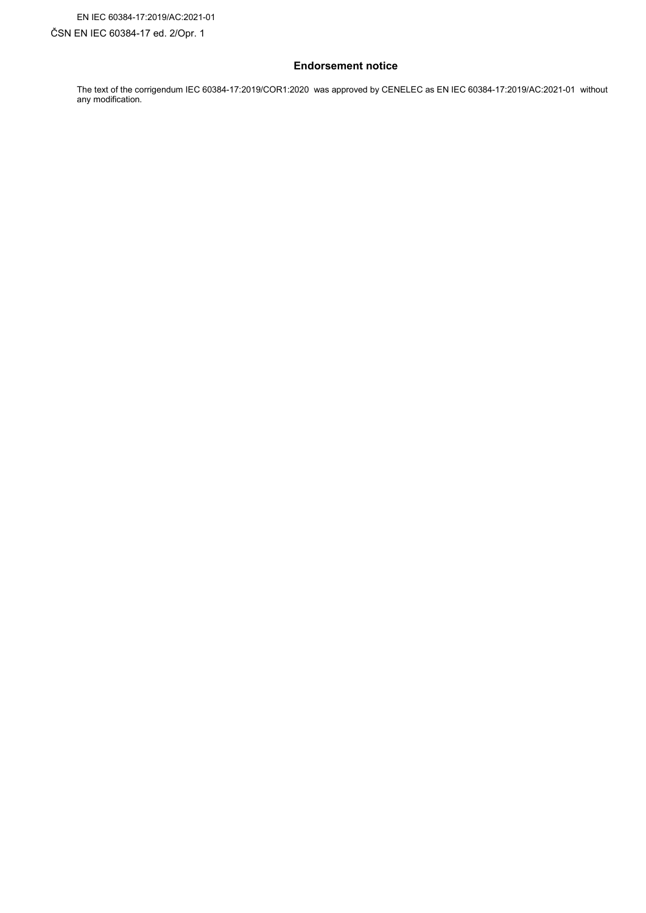EN IEC 60384-17:2019/AC:2021-01

ČSN EN IEC 60384-17 ed. 2/Opr. 1

#### **Endorsement notice**

The text of the corrigendum IEC 60384-17:2019/COR1:2020 was approved by CENELEC as EN IEC 60384-17:2019/AC:2021-01 without any modification.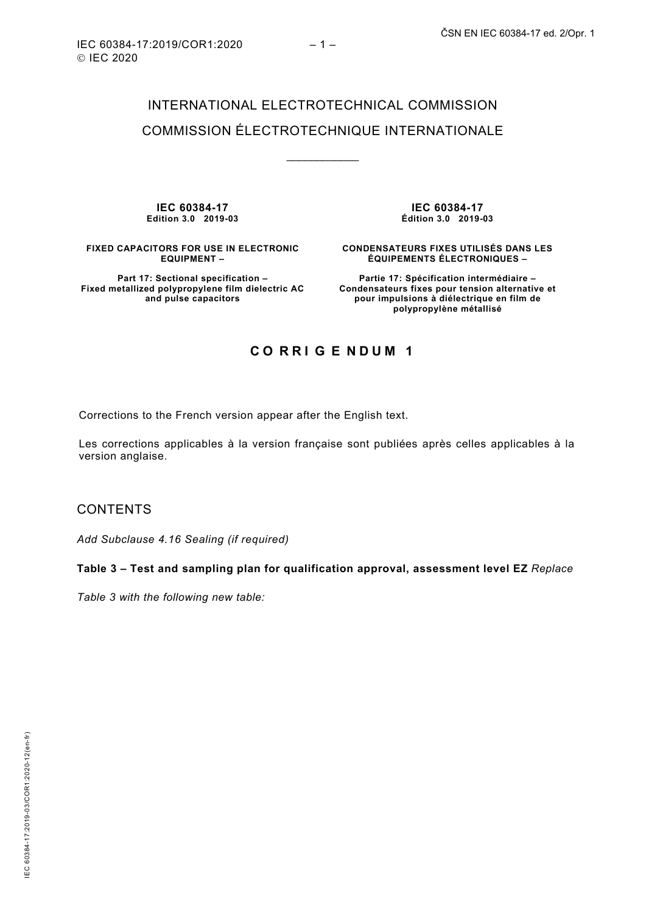## INTERNATIONAL ELECTROTECHNICAL COMMISSION COMMISSION ÉLECTROTECHNIQUE INTERNATIONALE

\_\_\_\_\_\_\_\_\_\_\_\_

**IEC 60384-17 Edition 3.0 2019-03** 

**FIXED CAPACITORS FOR USE IN ELECTRONIC EQUIPMENT –** 

**Part 17: Sectional specification – Fixed metallized polypropylene film dielectric AC and pulse capacitors** 

**IEC 60384-17 Édition 3.0 2019-03**

**CONDENSATEURS FIXES UTILISÉS DANS LES ÉQUIPEMENTS ÉLECTRONIQUES –** 

**Partie 17: Spécification intermédiaire – Condensateurs fixes pour tension alternative et pour impulsions à diélectrique en film de polypropylène métallisé**

### **C O RRI G E NDUM 1**

Corrections to the French version appear after the English text.

Les corrections applicables à la version française sont publiées après celles applicables à la version anglaise.

#### CONTENTS

*Add Subclause 4.16 Sealing (if required)* 

#### **Table 3 – Test and sampling plan for qualification approval, assessment level EZ** *Replace*

*Table 3 with the following new table:*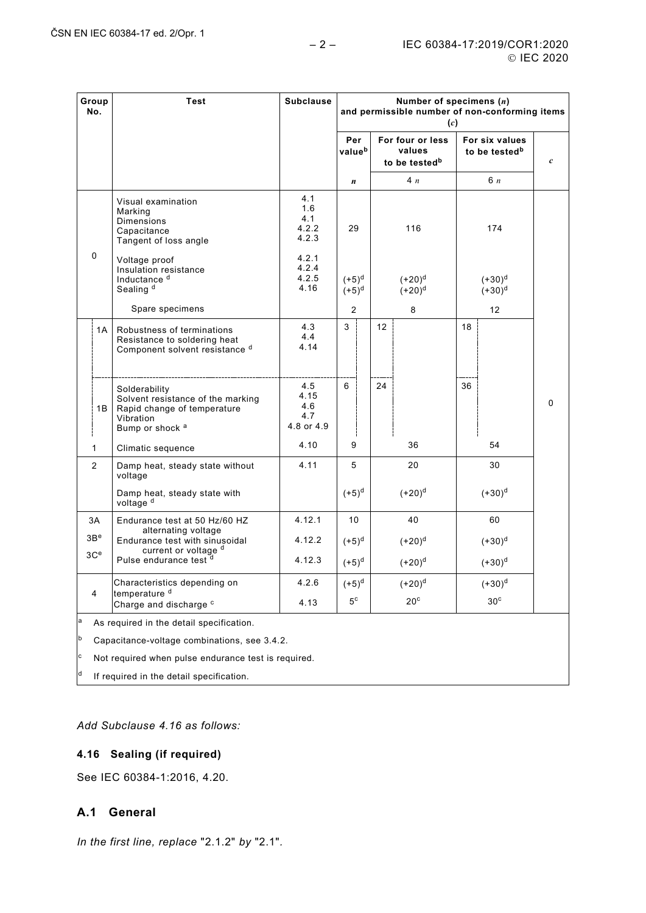|                                                          | Group<br>No. | <b>Test</b>                                                                                                                  | <b>Subclause</b>                        | Number of specimens $(n)$<br>and permissible number of non-conforming items<br>(c) |  |                                                         |           |                                             |           |   |
|----------------------------------------------------------|--------------|------------------------------------------------------------------------------------------------------------------------------|-----------------------------------------|------------------------------------------------------------------------------------|--|---------------------------------------------------------|-----------|---------------------------------------------|-----------|---|
|                                                          |              |                                                                                                                              |                                         | Per<br>valueb                                                                      |  | For four or less<br>values<br>to be tested <sup>b</sup> |           | For six values<br>to be tested <sup>b</sup> |           | c |
|                                                          |              |                                                                                                                              |                                         | $\boldsymbol{n}$                                                                   |  |                                                         | 4n        |                                             | 6n        |   |
| 0                                                        |              | Visual examination<br>Marking<br><b>Dimensions</b><br>Capacitance<br>Tangent of loss angle                                   | 4.1<br>1.6<br>4.1<br>4.2.2<br>4.2.3     | 29                                                                                 |  | 116                                                     |           | 174                                         |           |   |
|                                                          |              | Voltage proof<br>Insulation resistance<br>Inductance <sup>d</sup><br>Sealing <sup>d</sup>                                    | 4.2.1<br>4.2.4<br>4.2.5<br>4.16         | $(+5)^d$<br>$(+5)^d$                                                               |  | $(+20)^d$<br>$(+20)^d$                                  |           | $(+30)^d$<br>$(+30)^d$                      |           |   |
|                                                          |              | Spare specimens                                                                                                              |                                         | $\overline{2}$                                                                     |  |                                                         | 8         |                                             | 12        |   |
|                                                          | 1A           | Robustness of terminations<br>Resistance to soldering heat<br>Component solvent resistance d                                 | 4.3<br>4.4<br>4.14                      | 3                                                                                  |  | 12                                                      |           | 18                                          |           |   |
|                                                          | 1B           | Solderability<br>Solvent resistance of the marking<br>Rapid change of temperature<br>Vibration<br>Bump or shock <sup>a</sup> | 4.5<br>4.15<br>4.6<br>4.7<br>4.8 or 4.9 | 6                                                                                  |  | 24                                                      |           | 36                                          |           | 0 |
|                                                          | $\mathbf{1}$ | Climatic sequence                                                                                                            | 4.10                                    | 9                                                                                  |  | 36                                                      |           | 54                                          |           |   |
| $\overline{2}$                                           |              | Damp heat, steady state without<br>voltage                                                                                   | 4.11                                    | 5                                                                                  |  | 20                                                      |           | 30                                          |           |   |
|                                                          |              | Damp heat, steady state with<br>voltage <sup>d</sup>                                                                         |                                         | $(+5)^d$                                                                           |  | $(+20)^d$                                               |           | $(+30)^d$                                   |           |   |
| 3A                                                       |              | Endurance test at 50 Hz/60 HZ<br>alternating voltage                                                                         | 4.12.1                                  | 10                                                                                 |  |                                                         | 40        |                                             | 60        |   |
| 3B <sup>e</sup>                                          |              | Endurance test with sinusoidal<br>current or voltage d                                                                       | 4.12.2                                  | $(+5)^d$                                                                           |  | $(+20)^d$                                               |           | $(+30)^d$                                   |           |   |
| 3C <sup>e</sup>                                          |              | Pulse endurance test <sup>d</sup>                                                                                            | 4.12.3                                  | $(+5)^d$                                                                           |  |                                                         | $(+20)^d$ |                                             | $(+30)^d$ |   |
| 4                                                        |              | Characteristics depending on                                                                                                 | 4.2.6                                   | $(+5)^d$                                                                           |  |                                                         | $(+20)^d$ |                                             | $(+30)^d$ |   |
|                                                          |              | temperature <sup>d</sup><br>Charge and discharge c                                                                           | 4.13                                    | $5^{\rm c}$                                                                        |  | 20 <sup>c</sup>                                         |           | 30 <sup>c</sup>                             |           |   |
| $\mathsf{a}$<br>As required in the detail specification. |              |                                                                                                                              |                                         |                                                                                    |  |                                                         |           |                                             |           |   |
| b<br>Capacitance-voltage combinations, see 3.4.2.        |              |                                                                                                                              |                                         |                                                                                    |  |                                                         |           |                                             |           |   |
| с<br>Not required when pulse endurance test is required. |              |                                                                                                                              |                                         |                                                                                    |  |                                                         |           |                                             |           |   |

 $\vert$ <sup>d</sup> If required in the detail specification.

*Add Subclause 4.16 as follows:*

#### **4.16 Sealing (if required)**

See IEC 60384-1:2016, 4.20.

#### **A.1 General**

*In the first line, replace* "2.1.2" *by* "2.1"*.*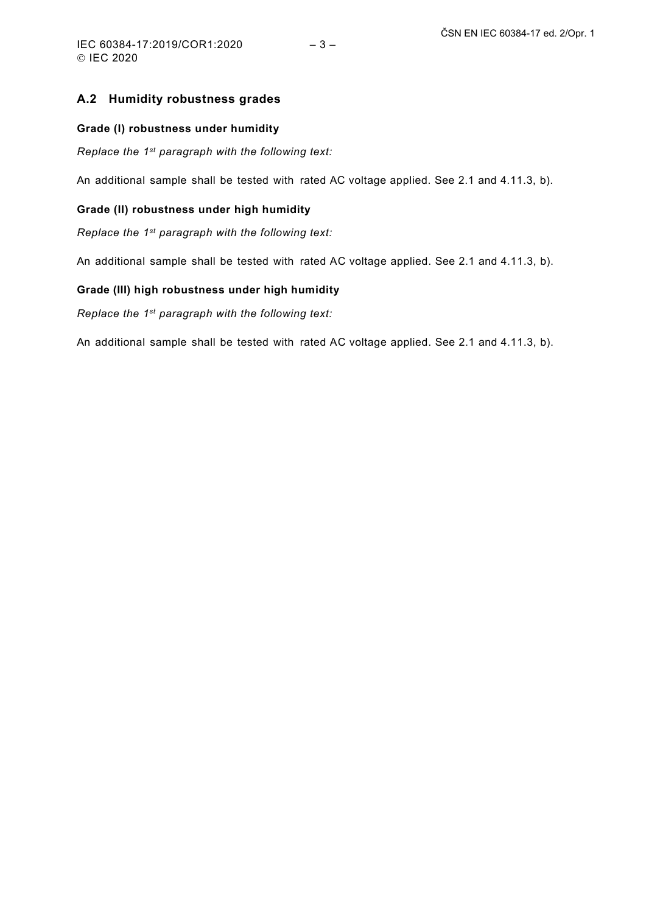#### **A.2 Humidity robustness grades**

#### **Grade (I) robustness under humidity**

*Replace the 1st paragraph with the following text:*

An additional sample shall be tested with rated AC voltage applied. See 2.1 and 4.11.3, b).

#### **Grade (II) robustness under high humidity**

*Replace the 1st paragraph with the following text:*

An additional sample shall be tested with rated AC voltage applied. See 2.1 and 4.11.3, b).

#### **Grade (III) high robustness under high humidity**

*Replace the 1st paragraph with the following text:*

An additional sample shall be tested with rated AC voltage applied. See 2.1 and 4.11.3, b).